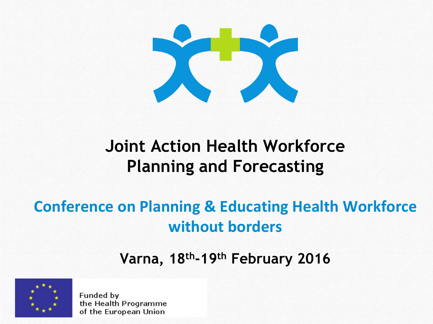

#### **Joint Action Health Workforce Planning and Forecasting**

#### **Conference on Planning & Educating Health Workforce without borders**

#### **Varna, 18th-19th February 2016**



Funded by the Health Programme of the European Union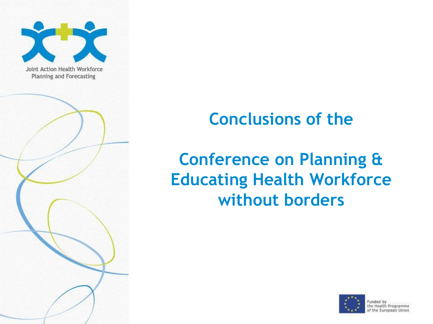

# **Conclusions of the**

# **Conference on Planning & Educating Health Workforce without borders**

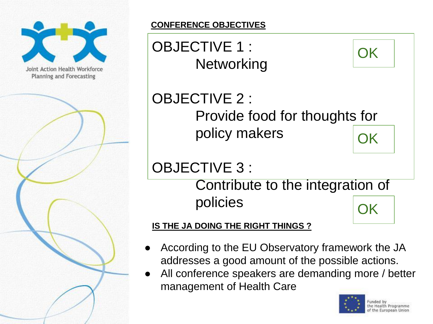

#### **CONFERENCE OBJECTIVES**



All conference speakers are demanding more / better management of Health Care

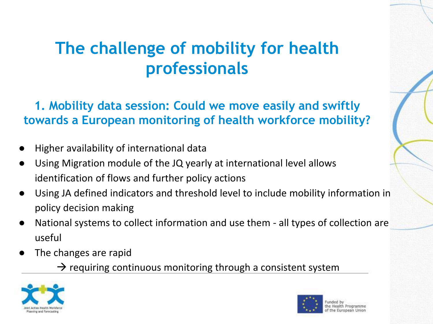### **The challenge of mobility for health professionals**

**1. Mobility data session: Could we move easily and swiftly towards a European monitoring of health workforce mobility?**

- Higher availability of international data
- Using Migration module of the JQ yearly at international level allows identification of flows and further policy actions
- Using JA defined indicators and threshold level to include mobility information in policy decision making
- National systems to collect information and use them all types of collection are useful
- The changes are rapid
	- $\rightarrow$  requiring continuous monitoring through a consistent system



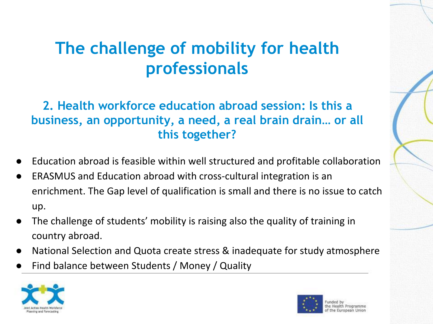#### **The challenge of mobility for health professionals**

#### **2. Health workforce education abroad session: Is this a business, an opportunity, a need, a real brain drain… or all this together?**

- Education abroad is feasible within well structured and profitable collaboration
- ERASMUS and Education abroad with cross-cultural integration is an enrichment. The Gap level of qualification is small and there is no issue to catch up.
- The challenge of students' mobility is raising also the quality of training in country abroad.
- National Selection and Quota create stress & inadequate for study atmosphere
- Find balance between Students / Money / Quality



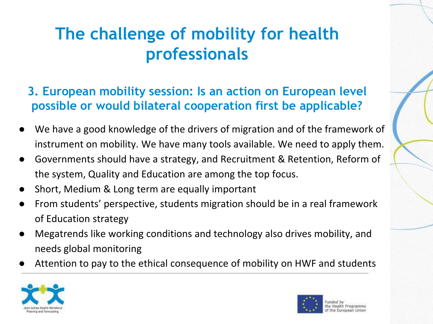### **The challenge of mobility for health professionals**

- **3. European mobility session: Is an action on European level possible or would bilateral cooperation first be applicable?**
- We have a good knowledge of the drivers of migration and of the framework of instrument on mobility. We have many tools available. We need to apply them.
- Governments should have a strategy, and Recruitment & Retention, Reform of the system, Quality and Education are among the top focus.
- Short, Medium & Long term are equally important
- From students' perspective, students migration should be in a real framework of Education strategy
- Megatrends like working conditions and technology also drives mobility, and needs global monitoring
- Attention to pay to the ethical consequence of mobility on HWF and students



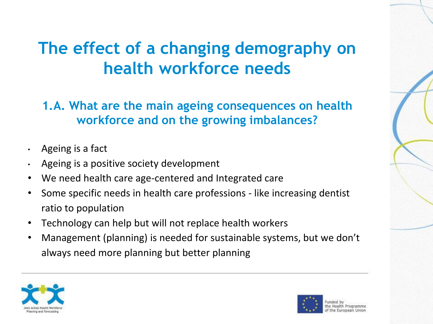### **The effect of a changing demography on health workforce needs**

**1.A. What are the main ageing consequences on health workforce and on the growing imbalances?** 

- Ageing is a fact
- Ageing is a positive society development
- We need health care age-centered and Integrated care
- Some specific needs in health care professions like increasing dentist ratio to population
- Technology can help but will not replace health workers
- Management (planning) is needed for sustainable systems, but we don't always need more planning but better planning



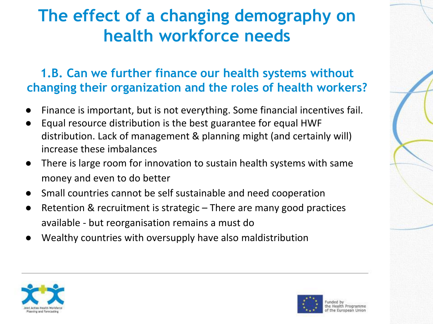### **The effect of a changing demography on health workforce needs**

#### **1.B. Can we further finance our health systems without changing their organization and the roles of health workers?**

- Finance is important, but is not everything. Some financial incentives fail.
- Equal resource distribution is the best guarantee for equal HWF distribution. Lack of management & planning might (and certainly will) increase these imbalances
- There is large room for innovation to sustain health systems with same money and even to do better
- Small countries cannot be self sustainable and need cooperation
- Retention & recruitment is strategic  $-$  There are many good practices available - but reorganisation remains a must do
- Wealthy countries with oversupply have also maldistribution



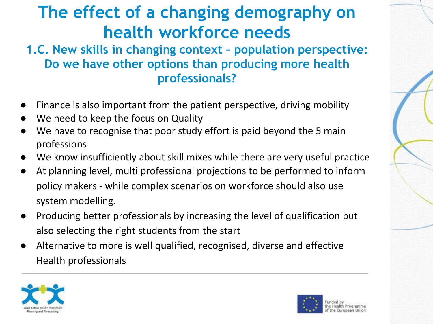# **The effect of a changing demography on health workforce needs**

#### **1.C. New skills in changing context – population perspective: Do we have other options than producing more health professionals?**

- Finance is also important from the patient perspective, driving mobility
- We need to keep the focus on Quality
- We have to recognise that poor study effort is paid beyond the 5 main professions
- We know insufficiently about skill mixes while there are very useful practice
- At planning level, multi professional projections to be performed to inform policy makers - while complex scenarios on workforce should also use system modelling.
- Producing better professionals by increasing the level of qualification but also selecting the right students from the start
- Alternative to more is well qualified, recognised, diverse and effective Health professionals



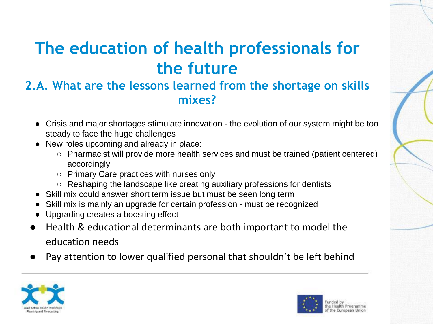# **The education of health professionals for the future**

#### **2.A. What are the lessons learned from the shortage on skills mixes?**

- Crisis and major shortages stimulate innovation the evolution of our system might be too steady to face the huge challenges
- New roles upcoming and already in place:
	- Pharmacist will provide more health services and must be trained (patient centered) accordingly
	- Primary Care practices with nurses only
	- Reshaping the landscape like creating auxiliary professions for dentists
- Skill mix could answer short term issue but must be seen long term
- Skill mix is mainly an upgrade for certain profession must be recognized
- Upgrading creates a boosting effect
- Health & educational determinants are both important to model the education needs
- Pay attention to lower qualified personal that shouldn't be left behind



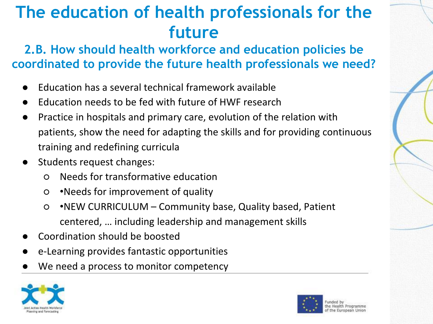### **The education of health professionals for the future**

**2.B. How should health workforce and education policies be coordinated to provide the future health professionals we need?** 

- Education has a several technical framework available
- Education needs to be fed with future of HWF research
- Practice in hospitals and primary care, evolution of the relation with patients, show the need for adapting the skills and for providing continuous training and redefining curricula
- Students request changes:
	- Needs for transformative education
	- •Needs for improvement of quality
	- •NEW CURRICULUM Community base, Quality based, Patient centered, … including leadership and management skills
- Coordination should be boosted
- e-Learning provides fantastic opportunities
- We need a process to monitor competency



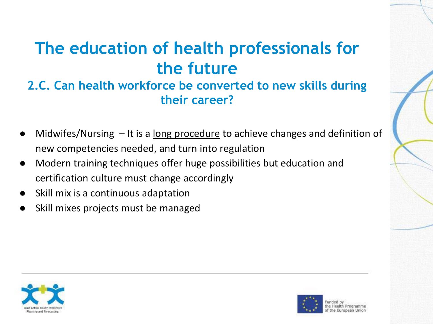# **The education of health professionals for the future**

#### **2.C. Can health workforce be converted to new skills during their career?**

- Midwifes/Nursing  $-$  It is a long procedure to achieve changes and definition of new competencies needed, and turn into regulation
- Modern training techniques offer huge possibilities but education and certification culture must change accordingly
- Skill mix is a continuous adaptation
- Skill mixes projects must be managed



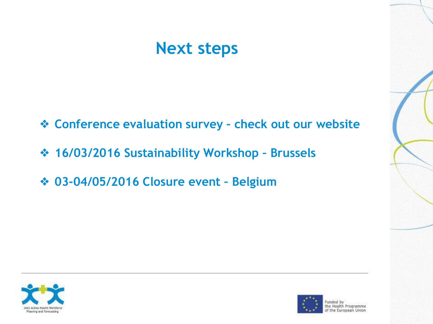#### **Next steps**

- ❖ **Conference evaluation survey – check out our website**
- ❖ **16/03/2016 Sustainability Workshop – Brussels**
- ❖ **03-04/05/2016 Closure event – Belgium**





Funded by the Health Programme of the European Union